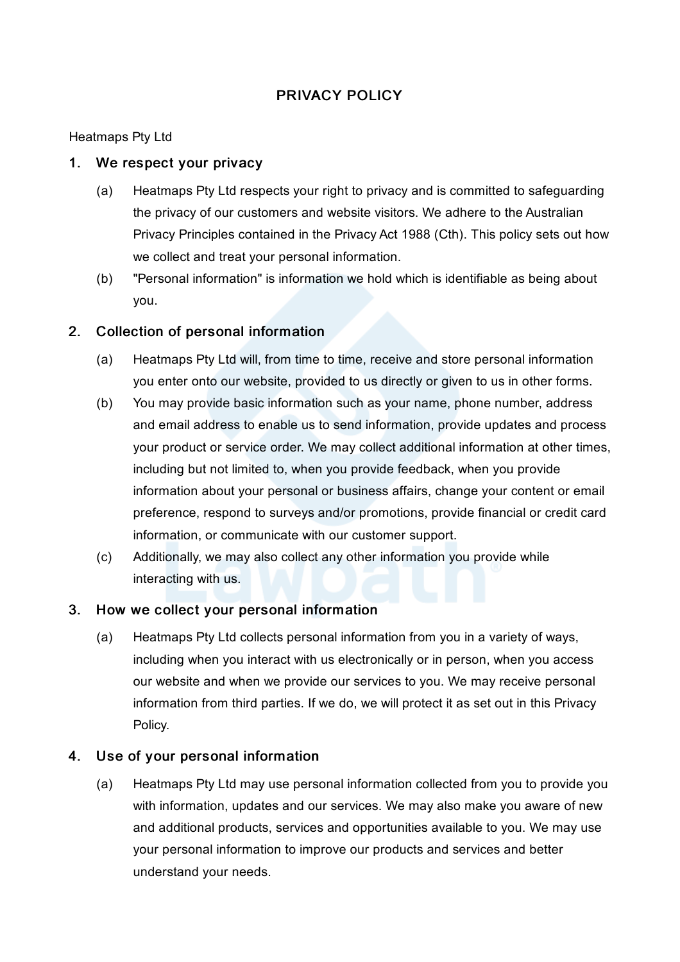# PRIVACY POLICY

## Heatmaps Pty Ltd

### 1. We respect your privacy

- (a) Heatmaps Pty Ltd respects your right to privacy and is committed to safeguarding the privacy of our customers and website visitors. We adhere to the Australian Privacy Principles contained in the Privacy Act 1988 (Cth). This policy sets out how we collect and treat your personal information.
- (b) "Personal information" is information we hold which is identifiable as being about you.

## 2. Collection of personal information

- (a) Heatmaps Pty Ltd will, from time to time, receive and store personal information you enter onto our website, provided to us directly or given to us in other forms.
- (b) You may provide basic information such as your name, phone number, address and email address to enable us to send information, provide updates and process your product or service order. We may collect additional information at other times, including but not limited to, when you provide feedback, when you provide information about your personal or business affairs, change your content or email preference, respond to surveys and/or promotions, provide financial or credit card information, or communicate with our customer support.
- (c) Additionally, we may also collect any other information you provide while interacting with us.

## 3. How we collect your personal information

(a) Heatmaps Pty Ltd collects personal information from you in a variety of ways, including when you interact with us electronically or in person, when you access our website and when we provide our services to you. We may receive personal information from third parties. If we do, we will protect it as set out in this Privacy Policy.

## 4. Use of your personal information

(a) Heatmaps Pty Ltd may use personal information collected from you to provide you with information, updates and our services. We may also make you aware of new and additional products, services and opportunities available to you. We may use your personal information to improve our products and services and better understand your needs.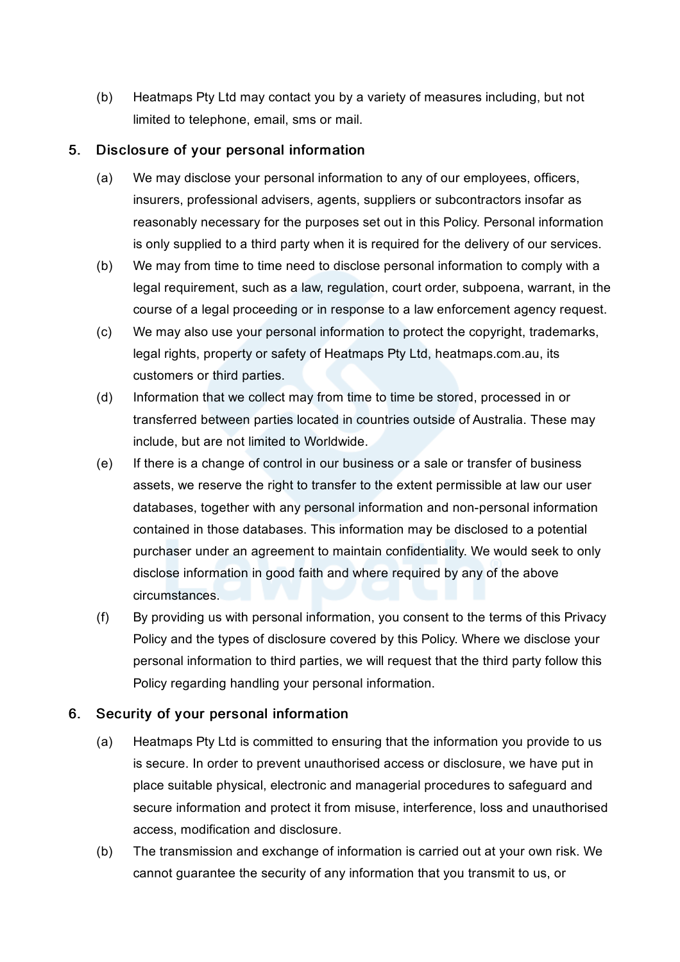(b) Heatmaps Pty Ltd may contact you by a variety of measures including, but not limited to telephone, email, sms or mail.

## 5. Disclosure of your personal information

- (a) We may disclose your personal information to any of our employees, officers, insurers, professional advisers, agents, suppliers or subcontractors insofar as reasonably necessary for the purposes set out in this Policy. Personal information is only supplied to a third party when it is required for the delivery of our services.
- (b) We may from time to time need to disclose personal information to comply with a legal requirement, such as a law, regulation, court order, subpoena, warrant, in the course of a legal proceeding or in response to a law enforcement agency request.
- (c) We may also use your personal information to protect the copyright, trademarks, legal rights, property or safety of Heatmaps Pty Ltd, heatmaps.com.au, its customers or third parties.
- (d) Information that we collect may from time to time be stored, processed in or transferred between parties located in countries outside of Australia. These may include, but are not limited to Worldwide.
- (e) If there is a change of control in our business or a sale or transfer of business assets, we reserve the right to transfer to the extent permissible at law our user databases, together with any personal information and non-personal information contained in those databases. This information may be disclosed to a potential purchaser under an agreement to maintain confidentiality. We would seek to only disclose information in good faith and where required by any of the above circumstances.
- (f) By providing us with personal information, you consent to the terms of this Privacy Policy and the types of disclosure covered by this Policy. Where we disclose your personal information to third parties, we will request that the third party follow this Policy regarding handling your personal information.

## 6. Security of your personal information

- (a) Heatmaps Pty Ltd is committed to ensuring that the information you provide to us is secure. In order to prevent unauthorised access or disclosure, we have put in place suitable physical, electronic and managerial procedures to safeguard and secure information and protect it from misuse, interference, loss and unauthorised access, modification and disclosure.
- (b) The transmission and exchange of information is carried out at your own risk. We cannot guarantee the security of any information that you transmit to us, or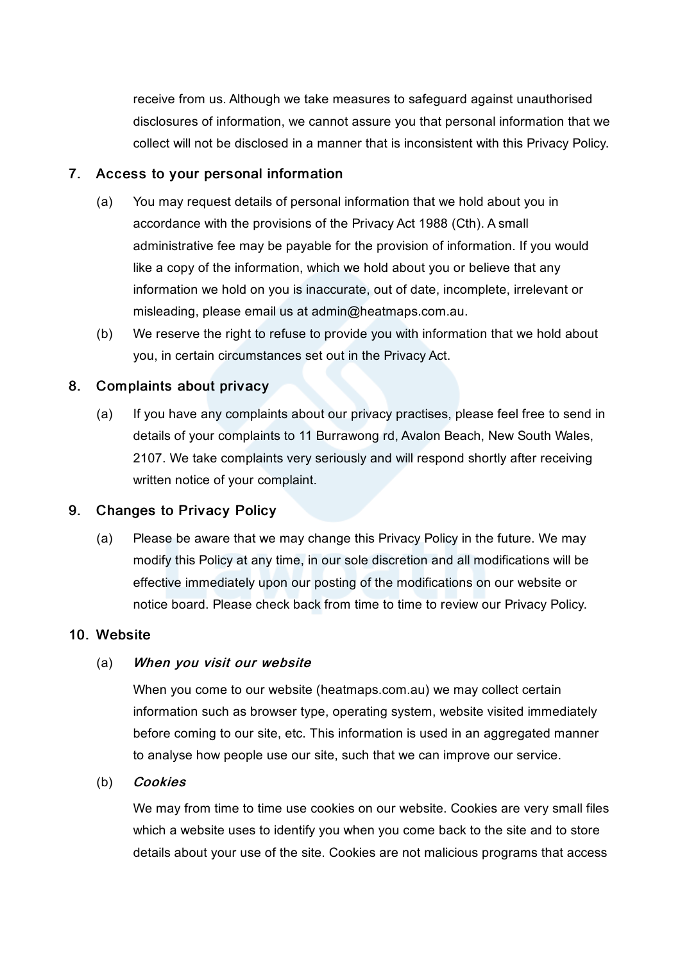receive from us. Although we take measures to safeguard against unauthorised disclosures of information, we cannot assure you that personal information that we collect will not be disclosed in a manner that is inconsistent with this Privacy Policy.

#### 7. Access to your personal information

- (a) You may request details of personal information that we hold about you in accordance with the provisions of the Privacy Act 1988 (Cth). A small administrative fee may be payable for the provision of information. If you would like a copy of the information, which we hold about you or believe that any information we hold on you is inaccurate, out of date, incomplete, irrelevant or misleading, please email us at admin@heatmaps.com.au.
- (b) We reserve the right to refuse to provide you with information that we hold about you, in certain circumstances set out in the Privacy Act.

#### 8. Complaints about privacy

(a) If you have any complaints about our privacy practises, please feel free to send in details of your complaints to 11 Burrawong rd, Avalon Beach, New South Wales, 2107. We take complaints very seriously and will respond shortly after receiving written notice of your complaint.

#### 9. Changes to Privacy Policy

(a) Please be aware that we may change this Privacy Policy in the future. We may modify this Policy at any time, in our sole discretion and all modifications will be effective immediately upon our posting of the modifications on our website or notice board. Please check back from time to time to review our Privacy Policy.

#### 10. Website

#### (a) When you visit our website

When you come to our website (heatmaps.com.au) we may collect certain information such as browser type, operating system, website visited immediately before coming to our site, etc. This information is used in an aggregated manner to analyse how people use our site, such that we can improve our service.

#### (b) Cookies

We may from time to time use cookies on our website. Cookies are very small files which a website uses to identify you when you come back to the site and to store details about your use of the site. Cookies are not malicious programs that access